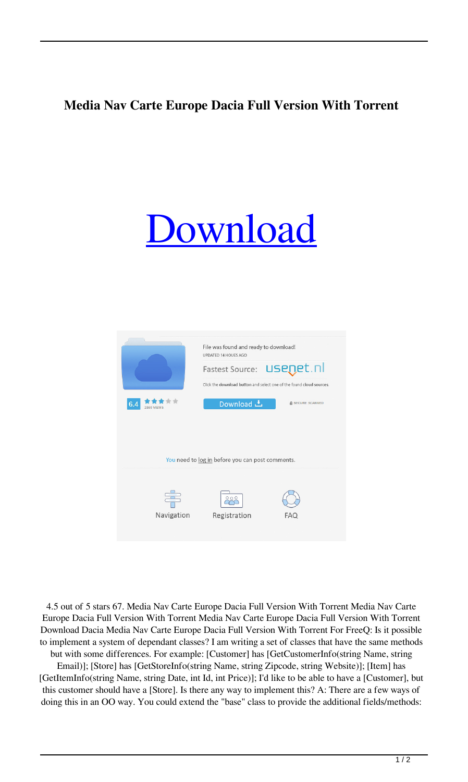## **Media Nav Carte Europe Dacia Full Version With Torrent**

## [Download](http://evacdir.com/arnhem/wrecking/cheered.ZG93bmxvYWR8eGM4WXpsOGZERTJOVEkzTkRBNE5qWjhmREkxTnpSOGZDaE5LU0J5WldGa0xXSnNiMmNnVzBaaGMzUWdSMFZPWFE/snouts/TWVkaWEgTmF2IENhcnRlIEV1cm9wZSBEYWNpYSBGdWxsIFZlcnNpb24gV2l0aCBUb3JyZW50TWV.montclair/)



4.5 out of 5 stars 67. Media Nav Carte Europe Dacia Full Version With Torrent Media Nav Carte Europe Dacia Full Version With Torrent Media Nav Carte Europe Dacia Full Version With Torrent Download Dacia Media Nav Carte Europe Dacia Full Version With Torrent For FreeQ: Is it possible to implement a system of dependant classes? I am writing a set of classes that have the same methods but with some differences. For example: [Customer] has [GetCustomerInfo(string Name, string

Email)]; [Store] has [GetStoreInfo(string Name, string Zipcode, string Website)]; [Item] has [GetItemInfo(string Name, string Date, int Id, int Price)]; I'd like to be able to have a [Customer], but this customer should have a [Store]. Is there any way to implement this? A: There are a few ways of doing this in an OO way. You could extend the "base" class to provide the additional fields/methods: